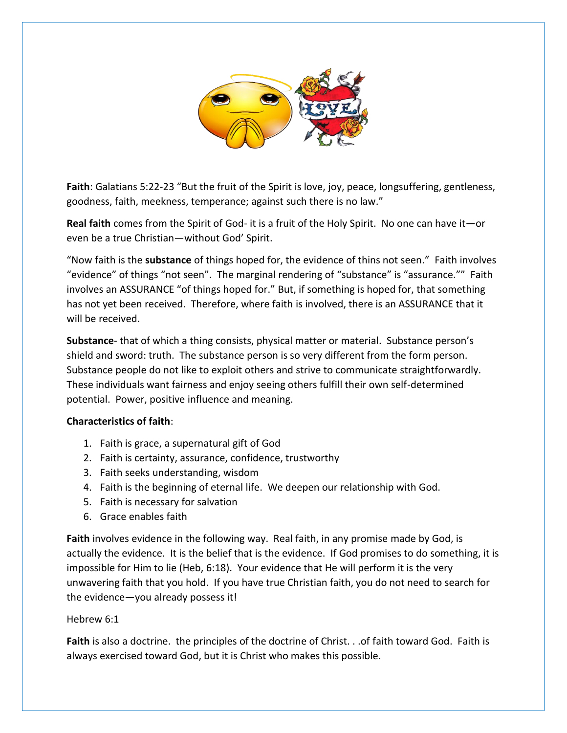

**Faith**: Galatians 5:22-23 "But [the fruit of](https://creativecommons.org/licenses/by-nc-sa/3.0/) the Spirit i[s love, jo](https://creativecommons.org/licenses/by-nc/3.0/)y, peace, longsuffering, gentleness, goodness, faith, meekness, temperance; against such there is no law."

**Real faith** comes from the Spirit of God- it is a fruit of the Holy Spirit. No one can have it—or even be a true Christian—without God' Spirit.

"Now faith is the **substance** of things hoped for, the evidence of thins not seen." Faith involves "evidence" of things "not seen". The marginal rendering of "substance" is "assurance."" Faith involves an ASSURANCE "of things hoped for." But, if something is hoped for, that something has not yet been received. Therefore, where faith is involved, there is an ASSURANCE that it will be received.

**Substance**- that of which a thing consists, physical matter or material. Substance person's shield and sword: truth. The substance person is so very different from the form person. Substance people do not like to exploit others and strive to communicate straightforwardly. These individuals want fairness and enjoy seeing others fulfill their own self-determined potential. Power, positive influence and meaning.

## **Characteristics of faith**:

- 1. Faith is grace, a supernatural gift of God
- 2. Faith is certainty, assurance, confidence, trustworthy
- 3. Faith seeks understanding, wisdom
- 4. Faith is the beginning of eternal life. We deepen our relationship with God.
- 5. Faith is necessary for salvation
- 6. Grace enables faith

**Faith** involves evidence in the following way. Real faith, in any promise made by God, is actually the evidence. It is the belief that is the evidence. If God promises to do something, it is impossible for Him to lie (Heb, 6:18). Your evidence that He will perform it is the very unwavering faith that you hold. If you have true Christian faith, you do not need to search for the evidence—you already possess it!

# Hebrew 6:1

**Faith** is also a doctrine. the principles of the doctrine of Christ. . .of faith toward God. Faith is always exercised toward God, but it is Christ who makes this possible.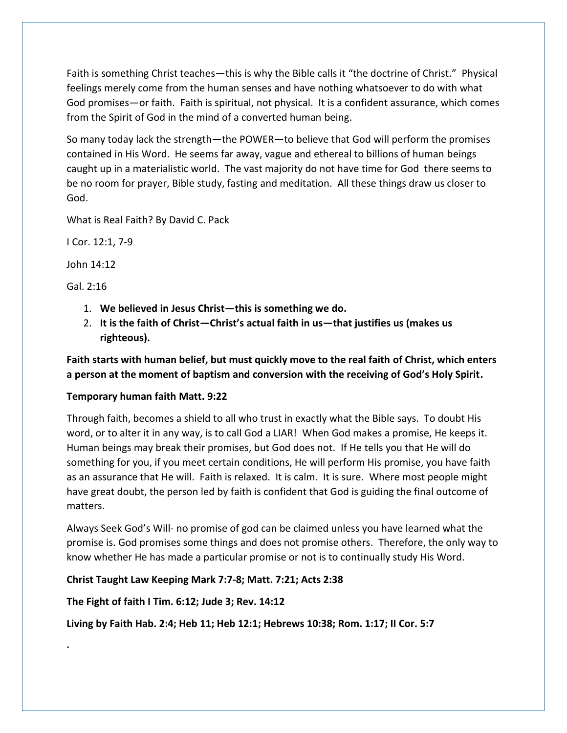Faith is something Christ teaches—this is why the Bible calls it "the doctrine of Christ." Physical feelings merely come from the human senses and have nothing whatsoever to do with what God promises—or faith. Faith is spiritual, not physical. It is a confident assurance, which comes from the Spirit of God in the mind of a converted human being.

So many today lack the strength—the POWER—to believe that God will perform the promises contained in His Word. He seems far away, vague and ethereal to billions of human beings caught up in a materialistic world. The vast majority do not have time for God there seems to be no room for prayer, Bible study, fasting and meditation. All these things draw us closer to God.

What is Real Faith? By David C. Pack

I Cor. 12:1, 7-9

John 14:12

Gal. 2:16

**.**

- 1. **We believed in Jesus Christ—this is something we do.**
- 2. **It is the faith of Christ—Christ's actual faith in us—that justifies us (makes us righteous).**

**Faith starts with human belief, but must quickly move to the real faith of Christ, which enters a person at the moment of baptism and conversion with the receiving of God's Holy Spirit.**

# **Temporary human faith Matt. 9:22**

Through faith, becomes a shield to all who trust in exactly what the Bible says. To doubt His word, or to alter it in any way, is to call God a LIAR! When God makes a promise, He keeps it. Human beings may break their promises, but God does not. If He tells you that He will do something for you, if you meet certain conditions, He will perform His promise, you have faith as an assurance that He will. Faith is relaxed. It is calm. It is sure. Where most people might have great doubt, the person led by faith is confident that God is guiding the final outcome of matters.

Always Seek God's Will- no promise of god can be claimed unless you have learned what the promise is. God promises some things and does not promise others. Therefore, the only way to know whether He has made a particular promise or not is to continually study His Word.

# **Christ Taught Law Keeping Mark 7:7-8; Matt. 7:21; Acts 2:38**

**The Fight of faith I Tim. 6:12; Jude 3; Rev. 14:12**

**Living by Faith Hab. 2:4; Heb 11; Heb 12:1; Hebrews 10:38; Rom. 1:17; II Cor. 5:7**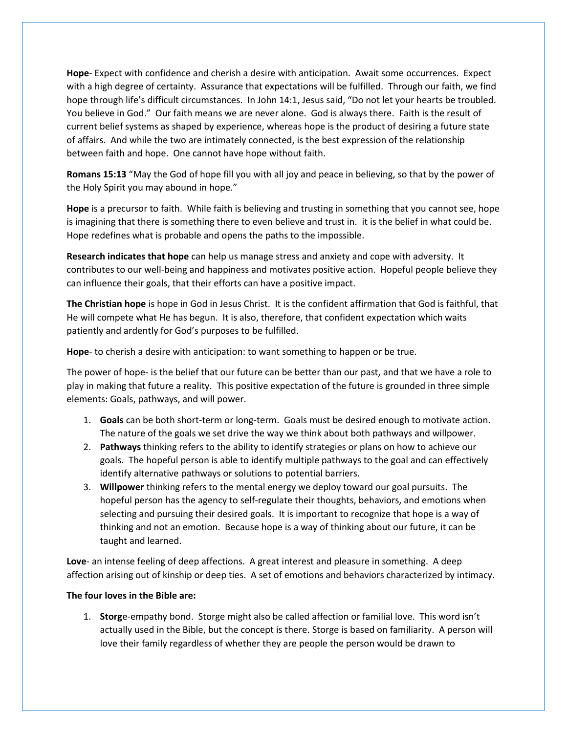**Hope**- Expect with confidence and cherish a desire with anticipation. Await some occurrences. Expect with a high degree of certainty. Assurance that expectations will be fulfilled. Through our faith, we find hope through life's difficult circumstances. In John 14:1, Jesus said, "Do not let your hearts be troubled. You believe in God." Our faith means we are never alone. God is always there. Faith is the result of current belief systems as shaped by experience, whereas hope is the product of desiring a future state of affairs. And while the two are intimately connected, is the best expression of the relationship between faith and hope. One cannot have hope without faith.

**Romans 15:13** "May the God of hope fill you with all joy and peace in believing, so that by the power of the Holy Spirit you may abound in hope."

**Hope** is a precursor to faith. While faith is believing and trusting in something that you cannot see, hope is imagining that there is something there to even believe and trust in. it is the belief in what could be. Hope redefines what is probable and opens the paths to the impossible.

**Research indicates that hope** can help us manage stress and anxiety and cope with adversity. It contributes to our well-being and happiness and motivates positive action. Hopeful people believe they can influence their goals, that their efforts can have a positive impact.

**The Christian hope** is hope in God in Jesus Christ. It is the confident affirmation that God is faithful, that He will compete what He has begun. It is also, therefore, that confident expectation which waits patiently and ardently for God's purposes to be fulfilled.

**Hope**- to cherish a desire with anticipation: to want something to happen or be true.

The power of hope- is the belief that our future can be better than our past, and that we have a role to play in making that future a reality. This positive expectation of the future is grounded in three simple elements: Goals, pathways, and will power.

- 1. **Goals** can be both short-term or long-term. Goals must be desired enough to motivate action. The nature of the goals we set drive the way we think about both pathways and willpower.
- 2. **Pathways** thinking refers to the ability to identify strategies or plans on how to achieve our goals. The hopeful person is able to identify multiple pathways to the goal and can effectively identify alternative pathways or solutions to potential barriers.
- 3. **Willpower** thinking refers to the mental energy we deploy toward our goal pursuits. The hopeful person has the agency to self-regulate their thoughts, behaviors, and emotions when selecting and pursuing their desired goals. It is important to recognize that hope is a way of thinking and not an emotion. Because hope is a way of thinking about our future, it can be taught and learned.

**Love**- an intense feeling of deep affections. A great interest and pleasure in something. A deep affection arising out of kinship or deep ties. A set of emotions and behaviors characterized by intimacy.

## **The four loves in the Bible are:**

1. **Storg**e-empathy bond. Storge might also be called affection or familial love. This word isn't actually used in the Bible, but the concept is there. Storge is based on familiarity. A person will love their family regardless of whether they are people the person would be drawn to